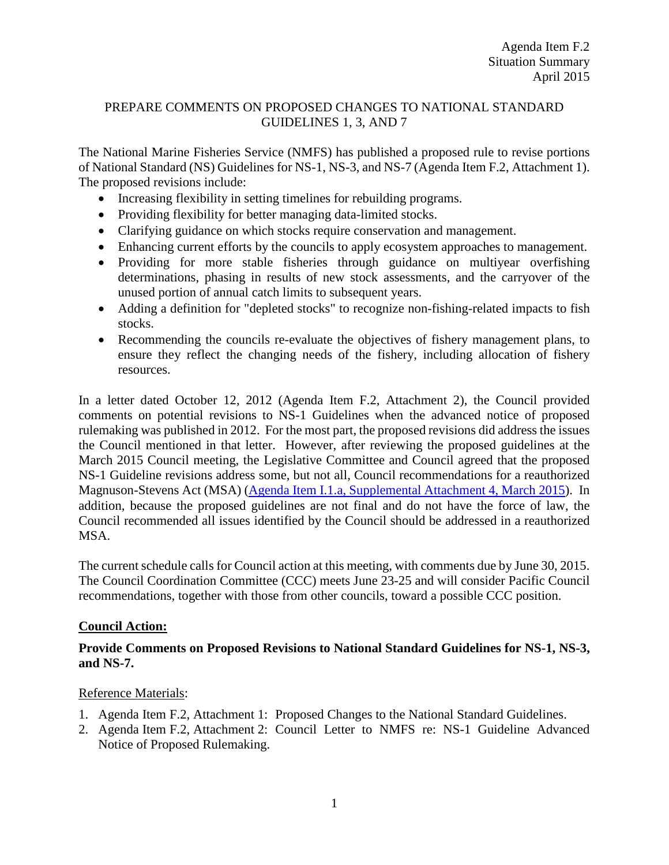### PREPARE COMMENTS ON PROPOSED CHANGES TO NATIONAL STANDARD GUIDELINES 1, 3, AND 7

The National Marine Fisheries Service (NMFS) has published a proposed rule to revise portions of National Standard (NS) Guidelines for NS-1, NS-3, and NS-7 (Agenda Item F.2, Attachment 1). The proposed revisions include:

- Increasing flexibility in setting timelines for rebuilding programs.
- Providing flexibility for better managing data-limited stocks.
- Clarifying guidance on which stocks require conservation and management.
- Enhancing current efforts by the councils to apply ecosystem approaches to management.
- Providing for more stable fisheries through guidance on multiyear overfishing determinations, phasing in results of new stock assessments, and the carryover of the unused portion of annual catch limits to subsequent years.
- Adding a definition for "depleted stocks" to recognize non-fishing-related impacts to fish stocks.
- Recommending the councils re-evaluate the objectives of fishery management plans, to ensure they reflect the changing needs of the fishery, including allocation of fishery resources.

In a letter dated October 12, 2012 (Agenda Item F.2, Attachment 2), the Council provided comments on potential revisions to NS-1 Guidelines when the advanced notice of proposed rulemaking was published in 2012. For the most part, the proposed revisions did address the issues the Council mentioned in that letter. However, after reviewing the proposed guidelines at the March 2015 Council meeting, the Legislative Committee and Council agreed that the proposed NS-1 Guideline revisions address some, but not all, Council recommendations for a reauthorized Magnuson-Stevens Act (MSA) [\(Agenda Item I.1.a, Supplemental Attachment 4, March 2015\)](http://www.pcouncil.org/wp-content/uploads/2015/03/I1a_Sup_Att4_Rvisd_MSAvNS1G_MAR2015BB.pdf). In addition, because the proposed guidelines are not final and do not have the force of law, the Council recommended all issues identified by the Council should be addressed in a reauthorized MSA.

The current schedule calls for Council action at this meeting, with comments due by June 30, 2015. The Council Coordination Committee (CCC) meets June 23-25 and will consider Pacific Council recommendations, together with those from other councils, toward a possible CCC position.

## **Council Action:**

## **Provide Comments on Proposed Revisions to National Standard Guidelines for NS-1, NS-3, and NS-7.**

## Reference Materials:

- 1. Agenda Item F.2, Attachment 1: Proposed Changes to the National Standard Guidelines.
- 2. Agenda Item F.2, Attachment 2: Council Letter to NMFS re: NS-1 Guideline Advanced Notice of Proposed Rulemaking.